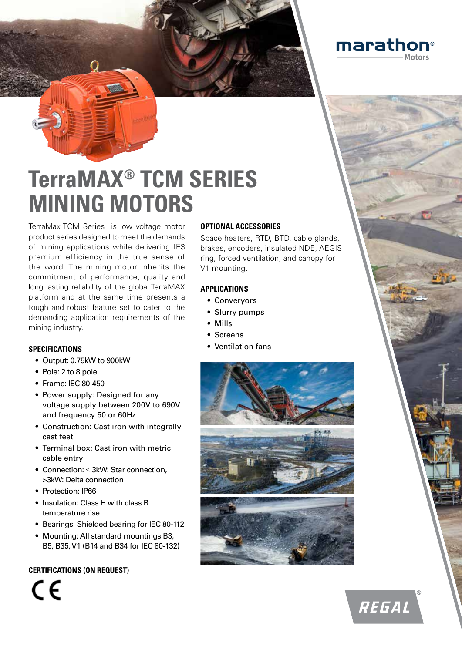



# **TerraMAX® TCM SERIES MINING MOTORS**

TerraMax TCM Series is low voltage motor product series designed to meet the demands of mining applications while delivering IE3 premium efficiency in the true sense of the word. The mining motor inherits the commitment of performance, quality and long lasting reliability of the global TerraMAX platform and at the same time presents a tough and robust feature set to cater to the demanding application requirements of the mining industry.

## **SPECIFICATIONS**

- Output: 0.75kW to 900kW
- Pole: 2 to 8 pole
- Frame: IEC 80-450
- Power supply: Designed for any voltage supply between 200V to 690V and frequency 50 or 60Hz
- Construction: Cast iron with integrally cast feet
- Terminal box: Cast iron with metric cable entry
- Connection: ≤ 3kW: Star connection, >3kW: Delta connection
- Protection: IP66
- Insulation: Class H with class B temperature rise
- Bearings: Shielded bearing for IEC 80-112
- Mounting: All standard mountings B3, B5, B35, V1 (B14 and B34 for IEC 80-132)

# **CERTIFICATIONS (ON REQUEST)**



# **OPTIONAL ACCESSORIES**

Space heaters, RTD, BTD, cable glands, brakes, encoders, insulated NDE, AEGIS ring, forced ventilation, and canopy for V1 mounting.

### **APPLICATIONS**

- Converyors
- Slurry pumps
- Mills
- Screens
- Ventilation fans



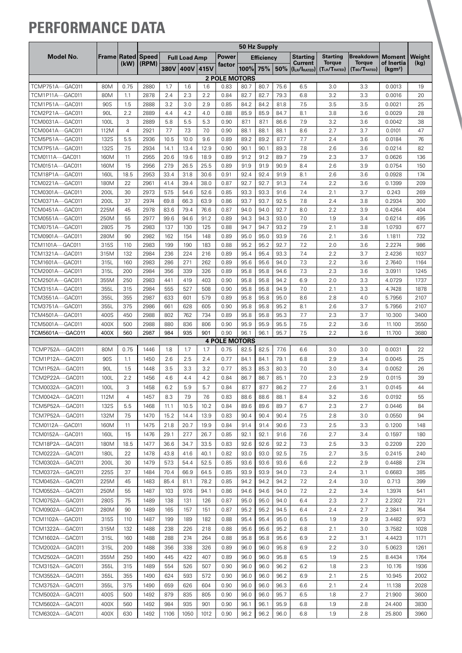# **PERFORMANCE DATA**

|                 |             |                | 50 Hz Supply             |                                      |           |      |                      |                   |      |      |                                    |                                       |                                                         |                                   |        |
|-----------------|-------------|----------------|--------------------------|--------------------------------------|-----------|------|----------------------|-------------------|------|------|------------------------------------|---------------------------------------|---------------------------------------------------------|-----------------------------------|--------|
| Model No.       |             |                | <b>Frame Rated Speed</b> | <b>Power</b><br><b>Full Load Amp</b> |           |      |                      | <b>Efficiency</b> |      |      | <b>Starting</b><br><b>Starting</b> |                                       | Breakdown                                               | <b>Moment</b>                     | Weight |
|                 |             | (kW)           | (RPM)                    | 380V                                 | 400V 415V |      | factor               | 100%              | 75%  | 50%  | <b>Current</b>                     | <b>Torque</b><br>$(T_{LR}/T_{RATED})$ | <b>Torque</b><br>(T <sub>BD</sub> /T <sub>RATED</sub> ) | of Inertia<br>(kgm <sup>2</sup> ) | (kg)   |
|                 |             |                |                          |                                      |           |      | <b>2 POLE MOTORS</b> |                   |      |      | $ ( _{LR}/ _{RATED}) $             |                                       |                                                         |                                   |        |
| TCMP751AGAC011  | 80M         | 0.75           | 2880                     | 1.7                                  | 1.6       | 1.6  | 0.83                 | 80.7              | 80.7 | 75.6 | 6.5                                | 3.0                                   | 3.3                                                     | 0.0013                            | 19     |
| TCM1P11AGAC011  | 80M         | 1.1            | 2878                     | 2.4                                  | 2.3       | 2.2  | 0.84                 | 82.7              | 82.7 | 79.3 | 6.8                                | 3.2                                   | 3.3                                                     | 0.0016                            | 20     |
| TCM1P51A…GAC011 | 90S         | 1.5            | 2888                     | 3.2                                  | 3.0       | 2.9  | 0.85                 | 84.2              | 84.2 | 81.8 | 7.5                                | 3.5                                   | 3.5                                                     | 0.0021                            | 25     |
| TCM2P21A…GAC011 | 90L         | 2.2            | 2889                     | 4.4                                  | 4.2       | 4.0  | 0.88                 | 85.9              | 85.9 | 84.7 | 8.1                                | 3.8                                   | 3.6                                                     | 0.0029                            | 28     |
| TCM0031AGAC011  | 100L        | 3              | 2889                     | 5.8                                  | 5.5       | 5.3  | 0.90                 | 87.1              | 87.1 | 86.6 | 7.9                                | 3.2                                   | 3.6                                                     | 0.0042                            | 38     |
| TCM0041AGAC011  | 112M        | $\overline{4}$ | 2921                     | 7.7                                  | 7.3       | 7.0  | 0.90                 | 88.1              | 88.1 | 88.1 | 8.6                                | 2.7                                   | 3.7                                                     | 0.0101                            | 47     |
| TCM5P51AGAC011  | <b>132S</b> | 5.5            | 2936                     | 10.5                                 | 10.0      | 9.6  | 0.89                 | 89.2              | 89.2 | 87.7 | 7.7                                | 2.4                                   | 3.6                                                     | 0.0184                            | 76     |
| TCM7P51AGAC011  | <b>132S</b> | 7.5            | 2934                     | 14.1                                 | 13.4      | 12.9 | 0.90                 | 90.1              | 90.1 | 89.3 | 7.8                                | 2.6                                   | 3.6                                                     | 0.0214                            | 82     |
| TCM0111AGAC011  | 160M        | 11             | 2955                     | 20.6                                 | 19.6      | 18.9 | 0.89                 | 91.2              | 91.2 | 89.7 | 7.9                                | 2.3                                   | 3.7                                                     | 0.0626                            | 136    |
| TCM0151AGAC011  | 160M        | 15             | 2956                     | 27.9                                 | 26.5      | 25.5 | 0.89                 | 91.9              | 91.9 | 90.9 | 8.4                                | 2.6                                   | 3.9                                                     | 0.0754                            | 150    |
| TCM18P1AGAC011  | 160L        | 18.5           | 2953                     | 33.4                                 | 31.8      | 30.6 | 0.91                 | 92.4              | 92.4 | 91.9 | 8.1                                | 2.6                                   | 3.6                                                     | 0.0928                            | 174    |
| TCM0221A…GAC011 | 180M        | 22             | 2961                     | 41.4                                 | 39.4      | 38.0 | 0.87                 | 92.7              | 92.7 | 91.3 | 7.4                                | 2.2                                   | 3.6                                                     | 0.1399                            | 209    |
| TCM0301AGAC011  | 200L        | 30             | 2973                     | 57.5                                 | 54.6      | 52.6 | 0.85                 | 93.3              | 93.3 | 91.6 | 7.4                                | 2.1                                   | 3.7                                                     | 0.243                             | 269    |
| TCM0371AGAC011  | 200L        | 37             | 2974                     | 69.8                                 | 66.3      | 63.9 | 0.86                 | 93.7              | 93.7 | 92.5 | 7.8                                | 2.4                                   | 3.8                                                     | 0.2934                            | 300    |
| TCM0451AGAC011  | 225M        | 45             | 2978                     | 83.6                                 | 79.4      | 76.6 | 0.87                 | 94.0              | 94.0 | 92.7 | 8.0                                | 2.2                                   | 3.9                                                     | 0.4264                            | 404    |
| TCM0551AGAC011  | 250M        | 55             | 2977                     | 99.6                                 | 94.6      | 91.2 | 0.89                 | 94.3              | 94.3 | 93.0 | 7.0                                | 1.9                                   | 3.4                                                     | 0.6214                            | 495    |
| TCM0751AGAC011  | 280S        | 75             | 2983                     | 137                                  | 130       | 125  | 0.88                 | 94.7              | 94.7 | 93.2 | 7.9                                | 2.1                                   | 3.8                                                     | 1.0793                            | 677    |
| TCM0901AGAC011  | 280M        | 90             | 2982                     | 162                                  | 154       | 148  | 0.89                 | 95.0              | 95.0 | 93.9 | 7.6                                | 2.1                                   | 3.6                                                     | 1.1811                            | 732    |
| TCM1101AGAC011  | 315S        | 110            | 2983                     | 199                                  | 190       | 183  | 0.88                 | 95.2              | 95.2 | 92.7 | 7.2                                | 2.0                                   | 3.6                                                     | 2.2274                            | 986    |
| TCM1321A…GAC011 | 315M        | 132            | 2984                     | 236                                  | 224       | 216  | 0.89                 | 95.4              | 95.4 | 93.3 | 7.4                                | 2.2                                   | 3.7                                                     | 2.4236                            | 1037   |
| TCM1601A…GAC011 | 315L        | 160            | 2983                     | 286                                  | 271       | 262  | 0.89                 | 95.6              | 95.6 | 94.0 | 7.3                                | 2.2                                   | 3.6                                                     | 2.7640                            | 1164   |
| TCM2001AGAC011  | 315L        | 200            | 2984                     | 356                                  | 339       | 326  | 0.89                 | 95.8              | 95.8 | 94.6 | 7.3                                | 2.3                                   | 3.6                                                     | 3.0911                            | 1245   |
| TCM2501AGAC011  | 355M        | 250            | 2983                     | 441                                  | 419       | 403  | 0.90                 | 95.8              | 95.8 | 94.2 | 6.9                                | 2.0                                   | 3.3                                                     | 4.0729                            | 1737   |
| TCM3151AGAC011  | 355L        | 315            | 2984                     | 555                                  | 527       | 508  | 0.90                 | 95.8              | 95.8 | 94.9 | 7.0                                | 2.1                                   | 3.3                                                     | 4.7428                            | 1878   |
| TCM3551AGAC011  | 355L        | 355            | 2987                     | 633                                  | 601       | 579  | 0.89                 | 95.8              | 95.8 | 95.0 | 8.6                                | 2.8                                   | 4.0                                                     | 5.7956                            | 2107   |
| TCM3751AGAC011  | 355L        | 375            | 2986                     | 661                                  | 628       | 605  | 0.90                 | 95.8              | 95.8 | 95.2 | 8.1                                | 2.6                                   | 3.7                                                     | 5.7956                            | 2107   |
| TCM4501AGAC011  | 400S        | 450            | 2988                     | 802                                  | 762       | 734  | 0.89                 | 95.8              | 95.8 | 95.3 | 7.7                                | 2.3                                   | 3.7                                                     | 10.300                            | 3400   |
| TCM5001A…GAC011 | 400X        | 500            | 2988                     | 880                                  | 836       | 806  | 0.90                 | 95.9              | 95.9 | 95.5 | 7.5                                | 2.2                                   | 3.6                                                     | 11.100                            | 3550   |
| TCM5601A…GAC011 | 400X        | 560            | 2987                     | 984                                  | 935       | 901  | 0.90                 | 96.1              | 96.1 | 95.7 | 7.5                                | 2.2                                   | 3.6                                                     | 11.700                            | 3680   |
|                 |             |                |                          |                                      |           |      | <b>4 POLE MOTORS</b> |                   |      |      |                                    |                                       |                                                         |                                   |        |
| TCMP752AGAC011  | 80M         | 0.75           | 1446                     | 1.8                                  | 1.7       | 1.7  | 0.75                 | 82.5              | 82.5 | 77.6 | 6.6                                | 3.0                                   | 3.0                                                     | 0.0031                            | 22     |
| TCM1P12AGAC011  | 90S         | 1.1            | 1450                     | 2.6                                  | 2.5       | 2.4  | 0.77                 | 84.1              | 84.1 | 79.1 | 6.8                                | 2.9                                   | 3.4                                                     | 0.0045                            | 25     |
| TCM1P52AGAC011  | 90L         | 1.5            | 1448                     | 3.5                                  | 3.3       | 3.2  | 0.77                 | 85.3              | 85.3 | 80.3 | 7.0                                | 3.0                                   | 3.4                                                     | 0.0052                            | 26     |
| TCM2P22AGAC011  | 100L        | 2.2            | 1456                     | 4.6                                  | 4.4       | 4.2  | 0.84                 | 86.7              | 86.7 | 85.1 | 7.0                                | 2.3                                   | 2.9                                                     | 0.0115                            | 39     |
| TCM0032AGAC011  | 100L        | 3              | 1458                     | 6.2                                  | 5.9       | 5.7  | 0.84                 | 87.7              | 87.7 | 86.2 | 7.7                                | 2.6                                   | 3.1                                                     | 0.0145                            | 44     |
| TCM0042AGAC011  |             | 4              | 1457                     |                                      | 7.9       |      |                      | 88.6              | 88.6 |      |                                    |                                       |                                                         | 0.0192                            |        |
|                 | 112M        |                |                          | 8.3                                  |           | 7.6  | 0.83                 |                   |      | 88.1 | 8.4                                | 3.2                                   | 3.6                                                     |                                   | 55     |
| TCM5P52AGAC011  | 132S        | 5.5            | 1468                     | 11.1                                 | 10.5      | 10.2 | 0.84                 | 89.6              | 89.6 | 89.7 | 6.7                                | 2.3                                   | 2.7                                                     | 0.0446                            | 84     |
| TCM7P52AGAC011  | 132M        | 7.5            | 1470                     | 15.2                                 | 14.4      | 13.9 | 0.83                 | 90.4              | 90.4 | 90.4 | 7.5                                | 2.8                                   | 3.0                                                     | 0.0550                            | 94     |
| TCM0112AGAC011  | 160M        | 11             | 1475                     | 21.8                                 | 20.7      | 19.9 | 0.84                 | 91.4              | 91.4 | 90.6 | 7.3                                | 2.5                                   | 3.3                                                     | 0.1200                            | 148    |
| TCM0152AGAC011  | 160L        | 15             | 1476                     | 29.1                                 | 27.7      | 26.7 | 0.85                 | 92.1              | 92.1 | 91.6 | 7.6                                | 2.7                                   | 3.4                                                     | 0.1597                            | 180    |
| TCM18P2AGAC011  | 180M        | 18.5           | 1477                     | 36.6                                 | 34.7      | 33.5 | 0.83                 | 92.6              | 92.6 | 92.2 | 7.3                                | 2.5                                   | 3.3                                                     | 0.2209                            | 220    |
| TCM0222AGAC011  | 180L        | 22             | 1478                     | 43.8                                 | 41.6      | 40.1 | 0.82                 | 93.0              | 93.0 | 92.5 | 7.5                                | 2.7                                   | 3.5                                                     | 0.2415                            | 240    |
| TCM0302AGAC011  | 200L        | 30             | 1479                     | 57.3                                 | 54.4      | 52.5 | 0.85                 | 93.6              | 93.6 | 93.6 | 6.6                                | 2.2                                   | 2.9                                                     | 0.4488                            | 274    |
| TCM0372AGAC011  | 225S        | 37             | 1484                     | 70.4                                 | 66.9      | 64.5 | 0.85                 | 93.9              | 93.9 | 94.0 | 7.3                                | 2.4                                   | 3.1                                                     | 0.6683                            | 385    |
| TCM0452AGAC011  | 225M        | 45             | 1483                     | 85.4                                 | 81.1      | 78.2 | 0.85                 | 94.2              | 94.2 | 94.2 | 7.2                                | 2.4                                   | 3.0                                                     | 0.713                             | 399    |
| TCM0552AGAC011  | 250M        | 55             | 1487                     | 103                                  | 97.6      | 94.1 | 0.86                 | 94.6              | 94.6 | 94.0 | 7.2                                | 2.2                                   | 3.4                                                     | 1.3974                            | 541    |
| TCM0752AGAC011  | 280S        | 75             | 1489                     | 138                                  | 131       | 126  | 0.87                 | 95.0              | 95.0 | 94.0 | 6.4                                | 2.3                                   | 2.7                                                     | 2.2302                            | 721    |
| TCM0902AGAC011  | 280M        | 90             | 1489                     | 165                                  | 157       | 151  | 0.87                 | 95.2              | 95.2 | 94.5 | 6.4                                | 2.4                                   | 2.7                                                     | 2.3841                            | 764    |
| TCM1102AGAC011  | 315S        | 110            | 1487                     | 199                                  | 189       | 182  | 0.88                 | 95.4              | 95.4 | 95.0 | 6.5                                | 1.9                                   | 2.9                                                     | 3.4482                            | 973    |
| TCM1322AGAC011  | 315M        | 132            | 1488                     | 238                                  | 226       | 218  | 0.88                 | 95.6              | 95.6 | 95.2 | 6.8                                | 2.1                                   | 3.0                                                     | 3.7582                            | 1028   |
| TCM1602AGAC011  | 315L        | 160            | 1488                     | 288                                  | 274       | 264  | 0.88                 | 95.8              | 95.8 | 95.6 | 6.9                                | 2.2                                   | 3.1                                                     | 4.4423                            | 1171   |
|                 |             |                |                          |                                      |           |      |                      |                   |      |      |                                    |                                       |                                                         |                                   |        |
| TCM2002AGAC011  | 315L        | 200            | 1488                     | 356                                  | 338       | 326  | 0.89                 | 96.0              | 96.0 | 95.8 | 6.9                                | 2.2                                   | 3.0                                                     | 5.0623                            | 1261   |
| TCM2502AGAC011  | 355M        | 250            | 1490                     | 445                                  | 422       | 407  | 0.89                 | 96.0              | 96.0 | 95.8 | 6.5                                | 1.9                                   | 2.5                                                     | 8.4434                            | 1764   |
| TCM3152AGAC011  | 355L        | 315            | 1489                     | 554                                  | 526       | 507  | 0.90                 | 96.0              | 96.0 | 96.2 | 6.2                                | 1.8                                   | 2.3                                                     | 10.176                            | 1936   |
| TCM3552AGAC011  | 355L        | 355            | 1490                     | 624                                  | 593       | 572  | 0.90                 | 96.0              | 96.0 | 96.2 | 6.9                                | 2.1                                   | 2.5                                                     | 10.945                            | 2002   |
| TCM3752AGAC011  | 355L        | 375            | 1490                     | 659                                  | 626       | 604  | 0.90                 | 96.0              | 96.0 | 96.3 | 6.6                                | 2.1                                   | 2.4                                                     | 11.138                            | 2028   |
| TCM5002AGAC011  | 400S        | 500            | 1492                     | 879                                  | 835       | 805  | 0.90                 | 96.0              | 96.0 | 95.7 | 6.5                                | 1.8                                   | 2.7                                                     | 21.900                            | 3600   |
| TCM5602AGAC011  | 400X        | 560            | 1492                     | 984                                  | 935       | 901  | 0.90                 | 96.1              | 96.1 | 95.9 | 6.8                                | 1.9                                   | 2.8                                                     | 24.400                            | 3830   |
| TCM6302AGAC011  | 400X        | 630            | 1492                     | 1106                                 | 1050      | 1012 | 0.90                 | 96.2              | 96.2 | 96.0 | 6.8                                | 1.9                                   | 2.8                                                     | 25.800                            | 3960   |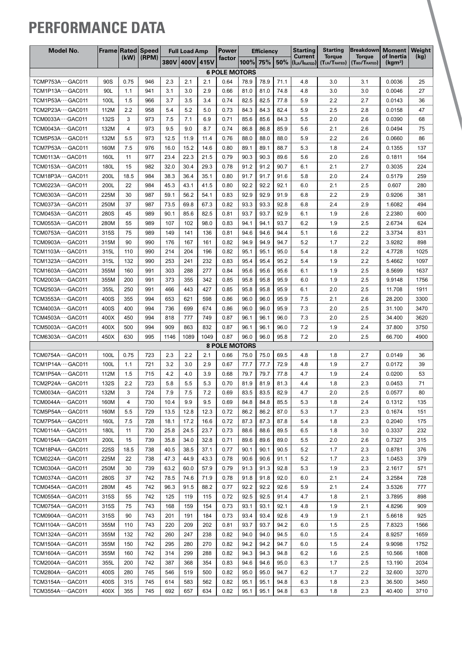# **PERFORMANCE DATA**

| Model No.            |      |      | <b>Frame   Rated   Speed</b> | <b>Full Load Amp</b> |           | <b>Power</b> | <b>Efficiency</b>            |      |      | <b>Starting</b> | <b>Starting</b>                | Breakdown Moment                      |                                       | Weight                            |      |
|----------------------|------|------|------------------------------|----------------------|-----------|--------------|------------------------------|------|------|-----------------|--------------------------------|---------------------------------------|---------------------------------------|-----------------------------------|------|
|                      |      | (kW) | $ $ (RPM)                    | 380V                 | 400V 415V |              | factor                       | 100% | 75%  | 50%             | <b>Current</b><br>(ILR/IRATED) | <b>Torque</b><br>$(T_{LR}/T_{RATED})$ | <b>Torque</b><br>$(T_{BD}/T_{RATED})$ | of Inertia<br>(kgm <sup>2</sup> ) | (kg) |
| <b>6 POLE MOTORS</b> |      |      |                              |                      |           |              |                              |      |      |                 |                                |                                       |                                       |                                   |      |
| TCMP753A ···· GAC011 | 90S  | 0.75 | 946                          | 2.3                  | 2.1       | 2.1          | 0.64                         | 78.9 | 78.9 | 71.1            | 4.8                            | 3.0                                   | 3.1                                   | 0.0036                            | 25   |
| TCM1P13A ···· GAC011 | 90L  | 1.1  | 941                          | 3.1                  | 3.0       | 2.9          | 0.66                         | 81.0 | 81.0 | 74.8            | 4.8                            | 3.0                                   | 3.0                                   | 0.0046                            | 27   |
| TCM1P53A ···· GAC011 | 100L | 1.5  | 966                          | 3.7                  | 3.5       | 3.4          | 0.74                         | 82.5 | 82.5 | 77.8            | 5.9                            | 2.2                                   | 2.7                                   | 0.0143                            | 36   |
| TCM2P23A ···· GAC011 | 112M | 2.2  | 958                          | 5.4                  | 5.2       | 5.0          | 0.73                         | 84.3 | 84.3 | 82.4            | 5.9                            | 2.5                                   | 2.8                                   | 0.0158                            | 47   |
| TCM0033A ···· GAC011 | 132S | 3    | 973                          | 7.5                  | 7.1       | 6.9          | 0.71                         | 85.6 | 85.6 | 84.3            | 5.5                            | 2.0                                   | 2.6                                   | 0.0390                            | 68   |
| TCM0043A ···· GAC011 | 132M | 4    | 973                          | 9.5                  | 9.0       | 8.7          | 0.74                         | 86.8 | 86.8 | 85.9            | 5.6                            | 2.1                                   | 2.6                                   | 0.0494                            | 75   |
| TCM5P53A ···· GAC011 | 132M | 5.5  | 973                          | 12.5                 | 11.9      | 11.4         | 0.76                         | 88.0 | 88.0 | 88.0            | 5.9                            | 2.2                                   | 2.6                                   | 0.0660                            | 86   |
| TCM7P53A ···· GAC011 | 160M | 7.5  | 976                          | 16.0                 | 15.2      | 14.6         | 0.80                         | 89.1 | 89.1 | 88.7            | 5.3                            | 1.8                                   | 2.4                                   | 0.1355                            | 137  |
| TCM0113A ···· GAC011 | 160L | 11   | 977                          | 23.4                 | 22.3      | 21.5         | 0.79                         | 90.3 | 90.3 | 89.6            | 5.6                            | 2.0                                   | 2.6                                   | 0.1811                            | 164  |
| TCM0153A ···· GAC011 | 180L | 15   | 982                          | 32.0                 | 30.4      | 29.3         | 0.78                         | 91.2 | 91.2 | 90.7            | 6.1                            | 2.1                                   | 2.7                                   | 0.3035                            | 224  |
| TCM18P3A ···· GAC011 | 200L | 18.5 | 984                          | 38.3                 | 36.4      | 35.1         | 0.80                         | 91.7 | 91.7 | 91.6            | 5.8                            | 2.0                                   | 2.4                                   | 0.5179                            | 259  |
| TCM0223A ···· GAC011 | 200L | 22   | 984                          | 45.3                 | 43.1      | 41.5         | 0.80                         | 92.2 | 92.2 | 92.1            | 6.0                            | 2.1                                   | 2.5                                   | 0.607                             | 280  |
| TCM0303A ···· GAC011 | 225M | 30   | 987                          | 59.1                 | 56.2      | 54.1         | 0.83                         | 92.9 | 92.9 | 91.9            | 6.8                            | $2.2\,$                               | 2.9                                   | 0.9206                            | 381  |
| TCM0373A ···· GAC011 | 250M | 37   | 987                          | 73.5                 | 69.8      | 67.3         | 0.82                         | 93.3 | 93.3 | 92.8            | 6.8                            | 2.4                                   | 2.9                                   | 1.6082                            | 494  |
| TCM0453A ···· GAC011 | 280S | 45   | 989                          | 90.1                 | 85.6      | 82.5         | 0.81                         | 93.7 | 93.7 | 92.9            | 6.1                            | 1.9                                   | 2.6                                   | 2.2380                            | 600  |
| TCM0553A ···· GAC011 | 280M | 55   | 989                          | 107                  | 102       | 98.0         | 0.83                         | 94.1 | 94.1 | 93.7            | 6.2                            | 1.9                                   | 2.5                                   | 2.6734                            | 624  |
| TCM0753A ···· GAC011 | 315S | 75   | 989                          | 149                  | 141       | 136          | 0.81                         | 94.6 | 94.6 | 94.4            | 5.1                            | 1.6                                   | 2.2                                   | 3.3734                            | 831  |
| TCM0903A ···· GAC011 | 315M | 90   | 990                          | 176                  | 167       | 161          | 0.82                         | 94.9 | 94.9 | 94.7            | 5.2                            | 1.7                                   | 2.2                                   | 3.9282                            | 898  |
| TCM1103A ···· GAC011 | 315L | 110  | 990                          | 214                  | 204       | 196          | 0.82                         | 95.1 | 95.1 | 95.0            | 5.4                            | 1.8                                   | 2.2                                   | 4.7728                            | 1025 |
| TCM1323A ···· GAC011 | 315L | 132  | 990                          | 253                  | 241       | 232          | 0.83                         | 95.4 | 95.4 | 95.2            | 5.4                            | 1.9                                   | 2.2                                   | 5.4662                            | 1097 |
| TCM1603A ···· GAC011 | 355M | 160  | 991                          | 303                  | 288       | 277          | 0.84                         | 95.6 | 95.6 | 95.6            | 6.1                            | 1.9                                   | 2.5                                   | 8.5699                            | 1637 |
| TCM2003A ···· GAC011 | 355M | 200  | 991                          | 373                  | 355       | 342          | 0.85                         | 95.8 | 95.8 | 95.9            | 6.0                            | 1.9                                   | 2.5                                   | 9.9148                            | 1756 |
| TCM2503A ···· GAC011 | 355L | 250  | 991                          | 466                  | 443       | 427          | 0.85                         | 95.8 | 95.8 | 95.9            | 6.1                            | 2.0                                   | 2.5                                   | 11.708                            | 1911 |
| TCM3553A ···· GAC011 | 400S | 355  | 994                          | 653                  | 621       | 598          | 0.86                         | 96.0 | 96.0 | 95.9            | 7.5                            | 2.1                                   | 2.6                                   | 28.200                            | 3300 |
| TCM4003A ···· GAC011 | 400S | 400  | 994                          | 736                  | 699       | 674          | 0.86                         | 96.0 | 96.0 | 95.9            | 7.3                            | 2.0                                   | 2.5                                   | 31.100                            | 3470 |
| TCM4503A ···· GAC011 | 400X | 450  | 994                          | 818                  | 777       | 749          | 0.87                         | 96.1 | 96.1 | 96.0            | 7.3                            | 2.0                                   | 2.5                                   | 34.400                            | 3620 |
| TCM5003A ···· GAC011 | 400X | 500  | 994                          | 909                  | 863       | 832          | 0.87                         | 96.1 | 96.1 | 96.0            | 7.2                            | 1.9                                   | 2.4                                   | 37.800                            | 3750 |
| TCM6303A ···· GAC011 | 450X | 630  | 995                          | 1146                 | 1089      | 1049         | 0.87                         | 96.0 | 96.0 | 95.8            | 7.2                            | 2.0                                   | 2.5                                   | 66.700                            | 4900 |
| TCM0754A ···· GAC011 | 100L | 0.75 | 723                          | 2.3                  | 2.2       | 2.1          | <b>8 POLE MOTORS</b><br>0.66 | 75.0 | 75.0 | 69.5            | 4.8                            | 1.8                                   | 2.7                                   | 0.0149                            | 36   |
| TCM1P14A ···· GAC011 | 100L | 1.1  | 721                          | 3.2                  | 3.0       | 2.9          | 0.67                         | 77.7 | 77.7 | 72.9            | 4.8                            | 1.9                                   | 2.7                                   | 0.0172                            | 39   |
| TCM1P54A ···· GAC011 | 112M | 1.5  | 715                          | 4.2                  | 4.0       | 3.9          | 0.68                         | 79.7 | 79.7 | 77.8            | 4.7                            | 1.9                                   | 2.4                                   | 0.0200                            | 53   |
| TCM2P24A ···· GAC011 | 132S | 2.2  | 723                          | 5.8                  | 5.5       | 5.3          | 0.70                         | 81.9 | 81.9 | 81.3            | 4.4                            | 1.8                                   | 2.3                                   | 0.0453                            | 71   |
| TCM0034A ···· GAC011 | 132M | 3    | 724                          | 7.9                  | 7.5       | 7.2          | 0.69                         | 83.5 | 83.5 | 82.9            | $4.7\,$                        | 2.0                                   | 2.5                                   | 0.0577                            | 80   |
| TCM0044A ···· GAC011 | 160M | 4    | 730                          | 10.4                 | 9.9       | 9.5          | 0.69                         | 84.8 | 84.8 | 85.5            | 5.3                            | 1.8                                   | 2.4                                   | 0.1312                            | 135  |
| TCM5P54A ···· GAC011 | 160M | 5.5  | 729                          | 13.5                 | 12.8      | 12.3         | 0.72                         | 86.2 | 86.2 | 87.0            | 5.3                            | 1.7                                   | 2.3                                   | 0.1674                            | 151  |
| TCM7P54A ···· GAC011 | 160L | 7.5  | 728                          | 18.1                 | 17.2      | 16.6         | 0.72                         | 87.3 | 87.3 | 87.8            | 5.4                            | 1.8                                   | 2.3                                   | 0.2040                            | 175  |
| TCM0114A ···· GAC011 | 180L | 11   | 730                          | 25.8                 | 24.5      | 23.7         | 0.73                         | 88.6 | 88.6 | 89.5            | 6.5                            | 1.8                                   | 3.0                                   | 0.3337                            | 232  |
| TCM0154A ···· GAC011 | 200L | 15   | 739                          | 35.8                 | 34.0      | 32.8         | 0.71                         | 89.6 | 89.6 | 89.0            | 5.5                            | 2.0                                   | 2.6                                   | 0.7327                            | 315  |
| TCM18P4A ···· GAC011 | 225S | 18.5 | 738                          | 40.5                 | 38.5      | 37.1         | 0.77                         | 90.1 | 90.1 | 90.5            | 5.2                            | 1.7                                   | 2.3                                   | 0.8781                            | 376  |
| TCM0224A ···· GAC011 | 225M | 22   | 738                          | 47.3                 | 44.9      | 43.3         | 0.78                         | 90.6 | 90.6 | 91.1            | 5.2                            | 1.7                                   | 2.3                                   | 1.0453                            | 379  |
| TCM0304A ···· GAC011 | 250M | 30   | 739                          | 63.2                 | 60.0      | 57.9         | 0.79                         | 91.3 | 91.3 | 92.8            | 5.3                            | 1.9                                   | 2.3                                   | 2.1617                            | 571  |
| TCM0374A ···· GAC011 | 280S | 37   | 742                          | 78.5                 | 74.6      | 71.9         | 0.78                         | 91.8 | 91.8 | 92.0            | 6.0                            | 2.1                                   | 2.4                                   | 3.2584                            | 728  |
| TCM0454A ···· GAC011 | 280M | 45   | 742                          | 96.3                 | 91.5      | 88.2         | 0.77                         | 92.2 | 92.2 | 92.6            | 5.9                            | 2.1                                   | 2.4                                   | 3.5326                            | 777  |
| TCM0554A ···· GAC011 | 315S | 55   | 742                          | 125                  | 119       | 115          | 0.72                         | 92.5 | 92.5 | 91.4            | 4.7                            | 1.8                                   | 2.1                                   | 3.7895                            | 898  |
| TCM0754A ···· GAC011 | 315S | 75   | 743                          | 168                  | 159       | 154          | 0.73                         | 93.1 | 93.1 | 92.1            | 4.8                            | 1.9                                   | 2.1                                   | 4.8296                            | 909  |
| TCM0904A ···· GAC011 | 315S | 90   | 743                          | 201                  | 191       | 184          | 0.73                         | 93.4 | 93.4 | 92.6            | 4.9                            | 1.9                                   | 2.1                                   | 5.6618                            | 925  |
| TCM1104A ···· GAC011 | 355M | 110  | 743                          | 220                  | 209       | 202          | 0.81                         | 93.7 | 93.7 | 94.2            | 6.0                            | 1.5                                   | 2.5                                   | 7.8323                            | 1566 |
| TCM1324A ···· GAC011 | 355M | 132  | 742                          | 260                  | 247       | 238          | 0.82                         | 94.0 | 94.0 | 94.5            | 6.0                            | 1.5                                   | 2.4                                   | 8.9257                            | 1659 |
| TCM1504A ···· GAC011 | 355M | 150  | 742                          | 295                  | 280       | 270          | 0.82                         | 94.2 | 94.2 | 94.7            | 6.0                            | 1.5                                   | 2.4                                   | 9.9098                            | 1752 |
| TCM1604A ···· GAC011 | 355M | 160  | 742                          | 314                  | 299       | 288          | 0.82                         | 94.3 | 94.3 | 94.8            | 6.2                            | 1.6                                   | 2.5                                   | 10.566                            | 1808 |
| TCM2004A ···· GAC011 | 355L | 200  | 742                          | 387                  | 368       | 354          | 0.83                         | 94.6 | 94.6 | 95.0            | 6.3                            | 1.7                                   | 2.5                                   | 13.190                            | 2034 |
| TCM2804A ···· GAC011 | 400S | 280  | 745                          | 546                  | 519       | 500          | 0.82                         | 95.0 | 95.0 | 94.7            | 6.2                            | 1.7                                   | 2.2                                   | 32.600                            | 3270 |
| TCM3154A ···· GAC011 | 400S | 315  | 745                          | 614                  | 583       | 562          | 0.82                         | 95.1 | 95.1 | 94.8            | 6.3                            | 1.8                                   | 2.3                                   | 36.500                            | 3450 |
| TCM3554A ···· GAC011 | 400X | 355  | 745                          | 692                  | 657       | 634          | 0.82                         | 95.1 | 95.1 | 94.8            | 6.3                            | 1.8                                   | 2.3                                   | 40.400                            | 3710 |
|                      |      |      |                              |                      |           |              |                              |      |      |                 |                                |                                       |                                       |                                   |      |